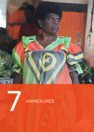

# ANNEXURES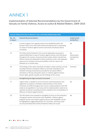# ANNEX 1

Implementation of Selected Recommendations by the Government of Vanuatu on Family Violence, Access to Justice & Related Matters: 2009–2016

| Vanuatu National Survey on Women's Lives and Family Relationships 2011 |                                                                                                                                                                                                                                                                                                                                                                                                                     |                                                     |
|------------------------------------------------------------------------|---------------------------------------------------------------------------------------------------------------------------------------------------------------------------------------------------------------------------------------------------------------------------------------------------------------------------------------------------------------------------------------------------------------------|-----------------------------------------------------|
| Rec. No.<br>in Report                                                  | <b>Selected Recommendations</b>                                                                                                                                                                                                                                                                                                                                                                                     | Implemented<br>Yes/No/Part                          |
| 14                                                                     | A Victim Support Unit urgently needs to be established within the<br>Vanuatu Police Force with staff trained and experienced in responding<br>to crimes of violence against women and sexual and physical abuse<br>of children.                                                                                                                                                                                     | <b>No</b>                                           |
| 15                                                                     | The Police Family Protection Unit must be adequately resourced to<br>respond effectively to cases of violence against women and child abuse<br>throughout the country. At provincial level, police stations should have<br>officers trained and dedicated to family protection cases, with adequate<br>resources for transport and accommodation costs for cases to be<br>followed up in remote areas.              | <b>No</b><br>(Some police<br>training from<br>VWC.) |
| 16                                                                     | The findings of this report should be included in police training curricula<br>including refresher training for officers at all levels. Mandatory and<br>refresher training should also be provided for all judicial officers<br>and others in the law and justice sector on violence against women,<br>human rights, gender equality and the findings of this survey.                                              | Unknown                                             |
|                                                                        | Strengthening the legal and policy framework                                                                                                                                                                                                                                                                                                                                                                        |                                                     |
| 17                                                                     | Urgent action is needed to recruit and train authorised persons and<br>registered counsellors to facilitate implementation of the Family<br>Protection Act (FPA) throughout the country. Implementation of the FPA<br>needs to be expedited in rural areas and its implementation needs to be<br>carefully monitored, including provisions related to the criminalisation of<br>offences of violence against women. | No                                                  |
| 18                                                                     | The FPA needs to be reviewed to strengthen its focus on the protection<br>of pregnant women and women with disabilities. Violence against<br>pregnant women and violence against women with disabilities should<br>be highlighted as aggravating factors for conviction, and these cases<br>must be prioritised when Family Protection Orders are issued.                                                           | No.                                                 |

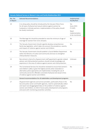| Vanuatu National Survey on Women's Lives and Family Relationships 2011 |                                                                                                                                                                                                                                                                                                                                                             |                                           |
|------------------------------------------------------------------------|-------------------------------------------------------------------------------------------------------------------------------------------------------------------------------------------------------------------------------------------------------------------------------------------------------------------------------------------------------------|-------------------------------------------|
| Rec. No.<br>in Report                                                  | <b>Selected Recommendations</b>                                                                                                                                                                                                                                                                                                                             | Implemented<br>Yes/No/Part                |
| 19                                                                     | A no-drop policy should be introduced by the Vanuatu Police Force<br>for all cases of physical and sexual violence against women by<br>husbands or intimate partners; implementation of the policy should                                                                                                                                                   | Yes<br>(June 2015<br>FV SOP)              |
|                                                                        | be closely monitored.                                                                                                                                                                                                                                                                                                                                       | Need<br>implementation<br>to be monitored |
| 20                                                                     | The Marriage Act should be amended to raise the minimum of age of<br>marriage for women from 16 to 18 years.                                                                                                                                                                                                                                                | No                                        |
| 21                                                                     | The Vanuatu Government should urgently develop comprehensive<br>family law legislation, which takes into account the prevalence, severity<br>and impacts of violence against women and children.                                                                                                                                                            | No.                                       |
| 22                                                                     | The Vanuatu Government should establish a Social Welfare Department<br>within the Ministry of Justice and Community Services to strengthen<br>child protection measures.                                                                                                                                                                                    | No.                                       |
| 23                                                                     | Recruitment criteria for all government staff appointed to gender-related<br>adviser and child protection positions should include knowledge and<br>experience in the area of violence against women and child protection.                                                                                                                                  | Unknown                                   |
| 24                                                                     | The Correctional Services Act should be reviewed to ensure that women's<br>and children's safety is given the highest priority when restorative or<br>alternative justice approaches are implemented, including the use of<br>community service for offenders convicted of physical and sexual crimes<br>of violence against women and children.            | <b>No</b>                                 |
|                                                                        | General recommendations for all stakeholders and development programs                                                                                                                                                                                                                                                                                       |                                           |
| 27                                                                     | All government agencies and service providers, particularly those in the<br>law and justice sector and health agencies, need to systematically collect<br>and report sex-disaggregated data on the problem of violence against<br>women and children, to inform future policy development and programs<br>and assist with monitoring prevention activities. | <b>No</b>                                 |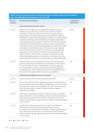| UNICEF: Protect me with love and care; A Baseline Report for creating a future free from violence,<br>abuse and exploitation of girls and boys in Vanuatu, 2008 |                                                                                                                                                                                                                                                                                                                                                                                                                                                                                                                                                                                                                                                                                                                                                                                                                                                                                                                                                                                                                                                                                                                                |                            |
|-----------------------------------------------------------------------------------------------------------------------------------------------------------------|--------------------------------------------------------------------------------------------------------------------------------------------------------------------------------------------------------------------------------------------------------------------------------------------------------------------------------------------------------------------------------------------------------------------------------------------------------------------------------------------------------------------------------------------------------------------------------------------------------------------------------------------------------------------------------------------------------------------------------------------------------------------------------------------------------------------------------------------------------------------------------------------------------------------------------------------------------------------------------------------------------------------------------------------------------------------------------------------------------------------------------|----------------------------|
| Rec. No.<br>in Report                                                                                                                                           | <b>Selected Recommendations</b>                                                                                                                                                                                                                                                                                                                                                                                                                                                                                                                                                                                                                                                                                                                                                                                                                                                                                                                                                                                                                                                                                                | Implemented<br>Yes/No/Part |
|                                                                                                                                                                 | Child welfare/child protection system                                                                                                                                                                                                                                                                                                                                                                                                                                                                                                                                                                                                                                                                                                                                                                                                                                                                                                                                                                                                                                                                                          |                            |
| $1.1 - R1.1$                                                                                                                                                    | Establish an inter-agency protocol/guidelines between the police,<br>Ministry of Justice and Community Services, Ministry of Health,<br>the Ministry of Education and any other relevant departments or<br>organisations for: a) responding to reports of child abuse, neglect or<br>exploitation; b) referrals and inter-agency cooperation in cases of children<br>in conflict with the law. The finalized protocol should be implemented<br>with appropriate training support, and copies of the protocols should be<br>widely disseminated throughout the relevant services and stakeholders.<br>This protocol will act as the overarching guideline for responding to child<br>protection and child offender cases, from community level upwards<br>and will include chiefs and CSOs. Any additional, more detailed sets<br>of guidelines and protocols, which need to be elaborated at a later<br>stage (in order to respond more concretely to the specific contexts<br>of each stakeholder group) must conform first and foremost with this<br>overarching protocol so as not to cause confusion amongst stakeholders. | Partly                     |
| $1.1 - R1.2$                                                                                                                                                    | Create a simple and minimalist Child Protection Act that empowers<br>government agencies to undertake crisis intervention, with provision<br>for judicial review of actions. The legislation should be supported<br>by a comprehensive training process for all implementing agencies<br>and departments, and its implementation further supported by clear<br>internal and inter-agency protocols, policies and guidelines.                                                                                                                                                                                                                                                                                                                                                                                                                                                                                                                                                                                                                                                                                                   | <b>No</b>                  |
|                                                                                                                                                                 | Child-friendly investigative and court processes                                                                                                                                                                                                                                                                                                                                                                                                                                                                                                                                                                                                                                                                                                                                                                                                                                                                                                                                                                                                                                                                               |                            |
| $1.1 - R7.1$                                                                                                                                                    | Review and reform the Criminal Procedure Code 1981.                                                                                                                                                                                                                                                                                                                                                                                                                                                                                                                                                                                                                                                                                                                                                                                                                                                                                                                                                                                                                                                                            | Partly                     |
| $1.1 - R7.2$                                                                                                                                                    | Issue a Court Direction which regulates and restricts the application of<br>the reconciliation discretion available to Magistrates under the Criminal<br>Procedure Code 1981 and the recognition of customary law processes<br>under the Penal Code in matters involving the abuse, neglect or<br>exploitation of children.                                                                                                                                                                                                                                                                                                                                                                                                                                                                                                                                                                                                                                                                                                                                                                                                    | No                         |
| $1.1 - R7.3$                                                                                                                                                    | The Public Solicitors Office and Public Prosecutors Office to develop a<br>clear, written policy for the handling of matters involving child witnesses,<br>both inside and outside of the courtroom. The policy must conform<br>with the overarching inter-agency protocol outlined in Recommendation<br>1.1-R1.1 above.                                                                                                                                                                                                                                                                                                                                                                                                                                                                                                                                                                                                                                                                                                                                                                                                       | No                         |
| $1.1 - R7.4$                                                                                                                                                    | Develop clear courtroom procedures for matters involving child<br>witnesses for insertion into the existing judicial bench book,<br>accompanied by comprehensive training for all judges, magistrates and<br>court clerks in the new provisions. Such procedures should conform<br>with the overarching inter-agency protocol outlined in Recommendation<br>1.1-R1.1 above.                                                                                                                                                                                                                                                                                                                                                                                                                                                                                                                                                                                                                                                                                                                                                    | No.                        |

**No B** Partly **E** Unknown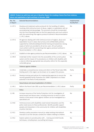**UNICEF: Protect me with love and care; A Baseline Report for creating a future free from violence, abuse and exploitation of girls and boys in Vanuatu, 2008**

| Rec. No.<br>in Report | <b>Selected Recommendations</b>                                                                                                                                                                                                                                                                                                                                                                                 | Implemented<br>Yes/No/Part |
|-----------------------|-----------------------------------------------------------------------------------------------------------------------------------------------------------------------------------------------------------------------------------------------------------------------------------------------------------------------------------------------------------------------------------------------------------------|----------------------------|
| $1.1 - R7.5$          | Develop and implement police protocols for the handling of matters<br>involving child victims/survivors of abuse, neglect or exploitation with an<br>accompanying training package. The provisions should be incorporated<br>into the Force Standing Orders at the first opportunity and must conform<br>with the overarching inter-agency protocol outlined in Recommendation<br>1.1-R1.1 above.               | <b>No</b>                  |
| $1.1 - R7.6$          | All agencies dealing with child victims/survivors of neglect, abuse and<br>exploitation to put in place clear privacy and confidentiality policies,<br>supported by institutional/departmental training and awareness raising,<br>copies of which are provided to all service users. All such policies<br>must conform with the overarching inter-agency protocol outlined in<br>Recommendation 1.1-R1.1 above. | No.                        |
| 1.1-R7.7              | Establish an inter-agency protocol as per Recommendation 1.1-R1.2 above.                                                                                                                                                                                                                                                                                                                                        | Yes                        |
| $1.1 - R9.9$          | Undertake further research into the accessibility of the current justice<br>system and the impact of its procedures on children with disability with<br>a view to informing appropriate law and policy reform for this especially<br>vulnerable group.                                                                                                                                                          | No                         |
|                       | Violence against children                                                                                                                                                                                                                                                                                                                                                                                       |                            |
| $1.1 - R3.1$          | Undertake a comprehensive review and reform of the Penal Code 1981.<br>Existing work in the region can be drawn on to support this process.                                                                                                                                                                                                                                                                     | Partly                     |
| $1.1 - R3.2$          | Develop training and policies for implementing agencies to ensure the<br>recently gazetted Family Protection Act 2008 is exploited to its fullest<br>potential in the field of child protection.                                                                                                                                                                                                                | No.                        |
|                       | Sexual abuse and sexual exploitation of children                                                                                                                                                                                                                                                                                                                                                                |                            |
| $1.1 - R4.1$          | Reform the Penal Code 1981 as per Recommendation 1.1-R3.1 above                                                                                                                                                                                                                                                                                                                                                 | Partly                     |
|                       | Police                                                                                                                                                                                                                                                                                                                                                                                                          |                            |
| 1.2-R8                | Increase resources of the Family Protection Unit for investigation of<br>sexual assault and abuse cases, including resources to work on other<br>islands so that sexual crimes against children can be investigated by a<br>specialised unit                                                                                                                                                                    | <b>No</b>                  |
| $1.2 - R10$           | Victims/survivors with disabilities need trained interpreters and the<br>police need access to these professionals. Identify possible support<br>people and interpreters in the community for children with disabilities<br>at police interview.                                                                                                                                                                | No.                        |
| 1.2-R11               | Develop a police procedure manual (or adapt existing international<br>manuals to suit the Vanuatu context) for matters relating to children.                                                                                                                                                                                                                                                                    | No                         |
| 1.2-R12               | Explore options to provide police with  training and child-friendly<br>techniques, including basic counselling techniques.                                                                                                                                                                                                                                                                                      | No.                        |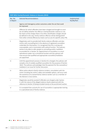|  | PJDP MOU Family/Domestic Violence in Vanuatu (2013) |  |
|--|-----------------------------------------------------|--|
|--|-----------------------------------------------------|--|

| Rec. No.<br>in Report  | Selected Recommendations                                                                                                                                                                                                                                                                                                                                                                                                                                                                                                                                                                                | Implemented<br>Yes/No/Part |
|------------------------|---------------------------------------------------------------------------------------------------------------------------------------------------------------------------------------------------------------------------------------------------------------------------------------------------------------------------------------------------------------------------------------------------------------------------------------------------------------------------------------------------------------------------------------------------------------------------------------------------------|----------------------------|
|                        | Agency and interagency action outcomes under the act that could<br>be improved                                                                                                                                                                                                                                                                                                                                                                                                                                                                                                                          |                            |
|                        | Offences for which offenders have been charged and brought to court<br>do not define whether the offence is family/domestic violence or not.<br>By means of the charge sheet or by other classification charges should<br>be defined in this way. Family violence offences will be distinguished<br>from other criminal offences by means such as use of a specific colour file.                                                                                                                                                                                                                        |                            |
| ΪĹ                     | Magistrates wish to provide both family violence offenders and also<br>victims with counselling but in the absence of registered counsellors<br>undertake this themselves. It is recognised that this is wrong and<br>unacceptable, and is inconsistent with judicial function. The judiciary<br>wishes to be able to refer people to counselling and/or mediation<br>as provided for in Section 16. Appointment of counsellors is a court<br>operational matter not a ministerial function and the judiciary will<br>now ensure that qualified and appropriate counsellors/mediators<br>are appointed. |                            |
| iii                    | Until the appointment process in Section 8 is changed, the judiciary will<br>compile a list of suitably qualified counsellors for the purpose of Section<br>16(2). The judiciary acknowledges that the payment for the counsellors/<br>mediators is an issue for further discussion.                                                                                                                                                                                                                                                                                                                    |                            |
| $\mathsf{I}\mathsf{v}$ | When police attend a family violence incident, consultation with the<br>victim including the victim's safety and available options, will occur with<br>the assistance of a trained family violence worker such as a member of<br>the Women's Crisis Centre.                                                                                                                                                                                                                                                                                                                                             |                            |
| V                      | Magistrates would be assisted if offenders are charged under Section<br>4, with the nature of the alleged violence clearly stated and with the<br>reference to Section 10 being included merely as the punishment section.                                                                                                                                                                                                                                                                                                                                                                              |                            |
| vi                     | It is accepted that a priority for use of counsellors is appropriate training<br>in a specialised area of family violence.                                                                                                                                                                                                                                                                                                                                                                                                                                                                              |                            |
|                        |                                                                                                                                                                                                                                                                                                                                                                                                                                                                                                                                                                                                         |                            |

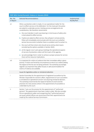#### **PJDP MOU Family/Domestic Violence in Vanuatu (2013)**

| Rec. No.<br>in Report | <b>Selected Recommendations</b>                                                                                                                                                                                                                                                                                                                                                                         | Implemented<br>Yes/No/Part |
|-----------------------|---------------------------------------------------------------------------------------------------------------------------------------------------------------------------------------------------------------------------------------------------------------------------------------------------------------------------------------------------------------------------------------------------------|----------------------------|
| vii                   | When a protection order is made, it is an operational matter for the<br>court to effect service on the defendant. For the most part the police<br>are asked to undertake service. Existing service arrangements are<br>unsatisfactory. We therefore recommend:                                                                                                                                          |                            |
|                       | a. the court decides in each case bearing in mind issues of safety who<br>is best placed to effect service,                                                                                                                                                                                                                                                                                             |                            |
|                       | <b>b.</b> if police are asked to effect service, they will give it utmost priority.<br>Police will immediately communicate with the court as to whether<br>service has occurred or whether there is a problem and if so what it is,                                                                                                                                                                     |                            |
|                       | c. the court will then direct who should serve and by what means<br>considering the options available in Section 36(3),                                                                                                                                                                                                                                                                                 |                            |
|                       | d. at the regular court users group meetings the operational aspects<br>of service of protection orders will form part of the agenda,                                                                                                                                                                                                                                                                   |                            |
|                       | e. we acknowledge that in order to achieve a proper process for service<br>there will be resource implications.                                                                                                                                                                                                                                                                                         |                            |
| viii                  | It is important for victims of violence that their immediate safety is given<br>priority. If victims are forced by circumstances to return to a violent setting<br>the objects of the Act are not being achieved. The workshop accordingly<br>regards it as important that safety houses or safe accommodation for<br>victims of violence are available.                                                |                            |
|                       | Issues for legislative action or ministerial attention                                                                                                                                                                                                                                                                                                                                                  |                            |
|                       | Section 8 provides for the appointment of registered counsellors by the<br>Minister responsible for women's affairs. Appointment of such counsellors<br>is considered an operational concern not requiring ministerial decision.<br>The workshop recommends the repeal of Sections 8 and 9 and the<br>provision of a new process where in the appointment of counsellors is<br>undertaken by the court. |                            |
| н                     | Section 7 sets out the process for the appointment of "authorised<br>persons". No appointments have been made to date. We also consider<br>this an operational matter and recognising that "authorised persons"<br>are quasi judicial officers we recommend that their appointments be<br>made by the Judicial Services Commission.                                                                     |                            |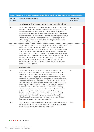| CEDAW Concluding Observations on Vanuatu's Combined Fourth and Fifth Periodic Reports, 7 March 2016 |                                                                                                                                                                                                                                                                                                                                                                                                                                                                                                                                                                                                                                                                                                                                                                                                                                                                                                                                                                                                                                                                                                 |                            |
|-----------------------------------------------------------------------------------------------------|-------------------------------------------------------------------------------------------------------------------------------------------------------------------------------------------------------------------------------------------------------------------------------------------------------------------------------------------------------------------------------------------------------------------------------------------------------------------------------------------------------------------------------------------------------------------------------------------------------------------------------------------------------------------------------------------------------------------------------------------------------------------------------------------------------------------------------------------------------------------------------------------------------------------------------------------------------------------------------------------------------------------------------------------------------------------------------------------------|----------------------------|
| Rec. No.<br>in Report                                                                               | <b>Selected Recommendations</b>                                                                                                                                                                                                                                                                                                                                                                                                                                                                                                                                                                                                                                                                                                                                                                                                                                                                                                                                                                                                                                                                 | Implemented<br>Yes/No/Part |
|                                                                                                     | Constitutional and legislative protection of women from discrimination                                                                                                                                                                                                                                                                                                                                                                                                                                                                                                                                                                                                                                                                                                                                                                                                                                                                                                                                                                                                                          |                            |
| No. 8                                                                                               | The Committee welcomes the information provided by the delegation<br>during the dialogue that the Convention has been incorporated into the<br>State party's domestic legal system and can be directly applied by the<br>courts. However, it notes with concern that the State party has taken no<br>steps to amend its Constitution with a view to incorporating the principle<br>of equality of women and men and defining and prohibiting all forms<br>of sex- and gender-based discrimination, including direct and indirect<br>discrimination by private and public actors.                                                                                                                                                                                                                                                                                                                                                                                                                                                                                                                | No                         |
| No. 9.                                                                                              | The Committee reiterates its previous recommendation (CEDAW/C/VUT/<br>CO/3, para. 11) that the State party give central importance to the<br>Convention as the basis for the elimination of all forms of discrimination<br>against women and the achievement of gender equality. It recommends<br>that the State party amend its Constitution as well as other appropriate<br>legislation to incorporate fully and without delay the principle of equality<br>between women and men, as well as a prohibition of discrimination<br>on the basis of sex and gender, in line with article 1 and 2 of the<br>Convention, that cover direct and indirect discrimination in both the<br>public and private spheres.                                                                                                                                                                                                                                                                                                                                                                                  | No.                        |
|                                                                                                     | Access to Justice                                                                                                                                                                                                                                                                                                                                                                                                                                                                                                                                                                                                                                                                                                                                                                                                                                                                                                                                                                                                                                                                               |                            |
| No. 10.                                                                                             | The Committee recalls that the Constitution recognises customary<br>law as part of the State party's law, and hence customary law and the<br>formal justice system coexist side by side. It notes the establishment<br>of the high-level working group to address women's access to justice,<br>and that legal assistance is provided through the Public Solicitor Office.<br>The Committee remains concerned, however, about women's limited<br>access to justice, in particular on the outer islands, due to their limited<br>knowledge about their rights and limited access to legal assistance.<br>It is also concerned about the difficulties women face in obtaining<br>effective remedies and redress in both the traditional and the formal<br>justice systems, and at the lack of study on this dual legal system.<br>The Committee is further concerned about the lack of procedural<br>accommodation of the justice system for women and girls with<br>disabilities, such as accessible information, provision of sign language<br>interpreter, alternative forms of communication. | No                         |
| 11(a)                                                                                               | The Committee recommends that the State party raise women's awareness<br>of their rights and of the means to enforce them, in cooperation with civil<br>society organizations, in particular on the outer islands;                                                                                                                                                                                                                                                                                                                                                                                                                                                                                                                                                                                                                                                                                                                                                                                                                                                                              | Partly                     |

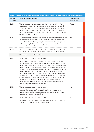| CEDAW Concluding Observations on Vanuatu's Combined Fourth and Fifth Periodic Reports, 7 March 2016 |                                                                                                                                                                                                                                                                                                                                                                                                                                                                                                                                                                                                                                                                                                                                                                                                                                                        |                            |
|-----------------------------------------------------------------------------------------------------|--------------------------------------------------------------------------------------------------------------------------------------------------------------------------------------------------------------------------------------------------------------------------------------------------------------------------------------------------------------------------------------------------------------------------------------------------------------------------------------------------------------------------------------------------------------------------------------------------------------------------------------------------------------------------------------------------------------------------------------------------------------------------------------------------------------------------------------------------------|----------------------------|
| Rec. No.<br>in Report                                                                               | Selected Recommendations                                                                                                                                                                                                                                                                                                                                                                                                                                                                                                                                                                                                                                                                                                                                                                                                                               | Implemented<br>Yes/No/Part |
| 11(b)                                                                                               | The Committee recommends that the State party establish effective<br>remedies in both the formal and traditional justice system to enable<br>women to obtain redress for violations of their rights, provide capacity<br>building to judges, lawyers and law enforcement officers on women's<br>rights, and undertake research on the impact of the dual justice system<br>on women's access to justice;                                                                                                                                                                                                                                                                                                                                                                                                                                               | Partly                     |
| 11(c)                                                                                               | Develop a strategy with clear time frames to ensure that traditional justice<br>mechanisms comply with the human rights standards set forth in the<br>Convention when addressing complaints by women. The strategy should<br>include capacity-building and training programmes on the Convention and<br>on women's human rights for traditional justice authorities.                                                                                                                                                                                                                                                                                                                                                                                                                                                                                   | No                         |
| 11(d)                                                                                               | Allocate further resources to enhancing the infrastructure, quality and<br>accessibility of the formal justice system, especially on outer islands.                                                                                                                                                                                                                                                                                                                                                                                                                                                                                                                                                                                                                                                                                                    | No.                        |
|                                                                                                     | Stereotypes and harmful practices                                                                                                                                                                                                                                                                                                                                                                                                                                                                                                                                                                                                                                                                                                                                                                                                                      |                            |
| 19(a)                                                                                               | The Committee urges the State party to:                                                                                                                                                                                                                                                                                                                                                                                                                                                                                                                                                                                                                                                                                                                                                                                                                | No                         |
|                                                                                                     | Put in place, without delay, a comprehensive strategy to eliminate<br>patriarchal attitudes and stereotypes that discriminate against women,<br>in conformity with the provisions of the Convention. The strategy should<br>include education and awareness-raising campaigns targeting women<br>and men at all levels of society, including council chiefs and community<br>leaders, and focus particular attention on the recognition of the<br>importance of women's contributions to society, their empowerment<br>and their participation in decision-making processes, including at the<br>community level. The strategy should engage civil society organizations<br>and the mass media to combat discriminatory stereotypes and<br>negative social attitudes towards women, and promote positive and<br>non-stereotypical portrayals of women; |                            |
| 19(b)                                                                                               | The Committee urges the State party to:                                                                                                                                                                                                                                                                                                                                                                                                                                                                                                                                                                                                                                                                                                                                                                                                                | No.                        |
|                                                                                                     | Integrate the principles of non-discrimination and gender equality<br>into mandatory and continuing education for teachers, health-care<br>professionals and service providers;                                                                                                                                                                                                                                                                                                                                                                                                                                                                                                                                                                                                                                                                        |                            |
| 19(c)                                                                                               | The Committee urges the State party to:                                                                                                                                                                                                                                                                                                                                                                                                                                                                                                                                                                                                                                                                                                                                                                                                                | No.                        |
|                                                                                                     | Set up a system of monitoring and evaluation to assess the impact of<br>the measures taken to eliminate stereotypes.                                                                                                                                                                                                                                                                                                                                                                                                                                                                                                                                                                                                                                                                                                                                   |                            |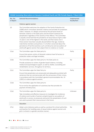| CEDAW Concluding Observations on Vanuatu's Combined Fourth and Fifth Periodic Reports, 7 March 2016 |                                                                                                                                                                                                                                                                                                                                                                                                                                                                                                                                                                                                                                                                                                                                                                                                              |                            |
|-----------------------------------------------------------------------------------------------------|--------------------------------------------------------------------------------------------------------------------------------------------------------------------------------------------------------------------------------------------------------------------------------------------------------------------------------------------------------------------------------------------------------------------------------------------------------------------------------------------------------------------------------------------------------------------------------------------------------------------------------------------------------------------------------------------------------------------------------------------------------------------------------------------------------------|----------------------------|
| Rec. No.<br>in Report                                                                               | Selected Recommendations                                                                                                                                                                                                                                                                                                                                                                                                                                                                                                                                                                                                                                                                                                                                                                                     | Implemented<br>Yes/No/Part |
|                                                                                                     | Violence against women                                                                                                                                                                                                                                                                                                                                                                                                                                                                                                                                                                                                                                                                                                                                                                                       |                            |
| 20                                                                                                  | The Committee welcomes the adoption of the Family Protection Act<br>(2008) which criminalizes domestic violence and provides for protection<br>orders. However, it is deeply concerned at the pervasive levels of<br>domestic violence in the State party and the lenient sentences for<br>perpetrators regardless of the severity of the offence. The Committee<br>is equally concerned that the prevalence of sexual abuse of girls under<br>15 years is one of the highest in the world, and that nearly one in<br>three women have been sexually abused before that age, mostly by<br>male family members and partners. It is further concerned about the<br>persistence of harmful practices such as bride price and accusations of<br>witchcraft against women that subject them to violence or murder |                            |
| 21(a)                                                                                               | The Committee urges the State party to:<br>Ensure that women victims of domestic violence have full access to                                                                                                                                                                                                                                                                                                                                                                                                                                                                                                                                                                                                                                                                                                | Partly                     |
|                                                                                                     | protection orders and legal remedies;                                                                                                                                                                                                                                                                                                                                                                                                                                                                                                                                                                                                                                                                                                                                                                        |                            |
| 21(b)                                                                                               | The Committee urges the State party to: the State party to:                                                                                                                                                                                                                                                                                                                                                                                                                                                                                                                                                                                                                                                                                                                                                  | No                         |
|                                                                                                     | Provide assistance to victims of gender-based violence, including<br>medical and psychological support, as well as shelter, counselling and<br>rehabilitation services, throughout its territory;                                                                                                                                                                                                                                                                                                                                                                                                                                                                                                                                                                                                            |                            |
| 21(c)                                                                                               | The Committee urges the State Party to:                                                                                                                                                                                                                                                                                                                                                                                                                                                                                                                                                                                                                                                                                                                                                                      | Partly                     |
|                                                                                                     | Ensure that perpetrators are prosecuted and adequately punished with<br>sentences that are commensurate with the seriousness of their crimes,<br>in accordance with the Committee's general recommendation No. 19<br>(1992) on violence against women;                                                                                                                                                                                                                                                                                                                                                                                                                                                                                                                                                       |                            |
| 21(d)                                                                                               | The Committee urges the State party to:                                                                                                                                                                                                                                                                                                                                                                                                                                                                                                                                                                                                                                                                                                                                                                      | No.                        |
|                                                                                                     | Put an end to the application of customary law that provides for<br>payment of bride prices;                                                                                                                                                                                                                                                                                                                                                                                                                                                                                                                                                                                                                                                                                                                 |                            |
| 21(e)                                                                                               | The Committee urges the State party to:                                                                                                                                                                                                                                                                                                                                                                                                                                                                                                                                                                                                                                                                                                                                                                      | Unknown                    |
|                                                                                                     | Take immediate and effective measures to investigate the incidences<br>of violence and murder of women and girls based on accusations of<br>witchcraft or sorcery, to prosecute and punish the perpetrators of such<br>acts and to prevent their reoccurrence in the future.                                                                                                                                                                                                                                                                                                                                                                                                                                                                                                                                 |                            |
|                                                                                                     | Education                                                                                                                                                                                                                                                                                                                                                                                                                                                                                                                                                                                                                                                                                                                                                                                                    |                            |
| 27(c)                                                                                               | Adopt a zero tolerance policy as well as a protocol for school authorities<br>and teachers for handling cases of sexual violence against women and<br>girls in schools in a gender-sensitive manner;                                                                                                                                                                                                                                                                                                                                                                                                                                                                                                                                                                                                         | <b>No</b>                  |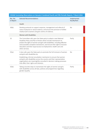| CEDAW Concluding Observations on Vanuatu's Combined Fourth and Fifth Periodic Reports, 7 March 2016 |                                                                                                                                                                                                                                                                                                                                                                                        |                            |
|-----------------------------------------------------------------------------------------------------|----------------------------------------------------------------------------------------------------------------------------------------------------------------------------------------------------------------------------------------------------------------------------------------------------------------------------------------------------------------------------------------|----------------------------|
| Rec. No.<br>in Report                                                                               | Selected Recommendations                                                                                                                                                                                                                                                                                                                                                               | Implemented<br>Yes/No/Part |
|                                                                                                     | Health                                                                                                                                                                                                                                                                                                                                                                                 |                            |
| 30(b)                                                                                               | Develop protocols to support response, management and referral of<br>cases of physical or sexual violence, and ensure the provision of skilled<br>medical aid to women and girls victims of violence;                                                                                                                                                                                  | No                         |
|                                                                                                     | Women with Disabilities                                                                                                                                                                                                                                                                                                                                                                |                            |
| 35                                                                                                  | The Committee calls upon the State party to adopt a new National<br>Disability Policy and Plan of Action which include mechanisms to<br>protect the rights of women and girls with disabilities, including effective<br>and accessible complaint mechanisms, and ensure their right to inclusive<br>education and their equal access to employment, health care and<br>other services. | Partly                     |
| 35(a)                                                                                               | It also calls upon the State party to promote the full inclusion of women<br>and girls with disabilities by:                                                                                                                                                                                                                                                                           | <b>No</b>                  |
|                                                                                                     | Establishing a formal consultation mechanism to ensure that women<br>and girls with disabilities across the country and their representative<br>organisations are meaningfully consulted in decision making processes<br>that affect their rights and interests;                                                                                                                       |                            |
| 35(b)                                                                                               | Taking concrete steps to mainstream the rights of women and girls<br>with disabilities across all laws, policies and programmes regarding<br>gender equality.                                                                                                                                                                                                                          | Partly                     |
|                                                                                                     |                                                                                                                                                                                                                                                                                                                                                                                        |                            |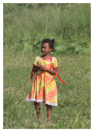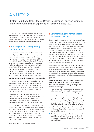# ANNEX 2

Stretem Rod Blong Jastis Stage 2 Design Background Paper on Women's Pathways to Action when experiencing Family Violence (2013)

The research highlights a range of key strengths and assets that exist currently in Malekula and also identifies the following four "intervention/entry points" that relate specifically to the context of women's access to justice and violence against women on Malekula:

### **1. Backing up and strengthening existing assets**

The case study identifies several "key assets" that currently exist in Malekula. The key assets comprise state bodies (such as the Magistrates Court and representatives from the State Prosecutor's Office, the Public Solicitor's Office and the Family Protection Unit) and non-government bodies and individuals (including existing networks such as the CAVAWs; some Regional Rights Resource Team-trained Community Paralegals; the Malampa Women's Council; the Vanwoods Microcredit Scheme; the Malampa Technical and Vocational Education and Training centre; and initiatives like Just Play).

#### **Building on the research the case study recommends:**

Formalising the existing support networks by setting up a Task Force on Malekula to oversee work on improving women's access to justice in situations of family violence. Assessing and developing a plan to strengthen and extend the current network of CAVAWs in Malekula.

Engaging actors and building on existing networks outside of the justice sector, which include women's organisation (e.g. women's church groups) and other government (e.g. Ministry of Health) and non-government (e.g. TVET and Vanwoods) bodies.

Ensuring a basic level of strategic resourcing by filling key gaps that currently exist to increase women's access to justice (e.g. engagement of a second female Family Protection Unit Officer; increased budget for operations and CAVAWs). Accelerating the establishment of key assets including the Vanuatu Women's Centre's Male Advocacy Program and a Malampa Women's Counselling Centre.

# **2. Strengthening the formal justice sector on Malekula**

The case study acknowledges that there are significant resources currently available on Malekula in the formal justice sector, including an Island Court, a Magistrates Court, a Public Solicitor, a State Prosecutor and police services including a Family Protection Unit Officer. However, the case study research indicated that that there can be limitations to formal justice sector interventions. Examples of these limitations include: high levels of bureaucracy and instances of corruption; the prevalence of victim-blaming; and lack of trust in, and fear of, the police. Under entry point 2, the case study recommends that the formal

justice sector personnel could be strengthened though training in areas such as gender equality, domestic violence and basic counselling services. Furthermore, the case study identified that the formal justice sector would be strengthened through greater collaboration and sharing of resources, best practices and innovative approaches.

#### **Within intervention 2, specific entry points within the formal justice sector identified by the case study research include extending existing justice mechanisms through:**

- **I.** Legal literacy (e.g. developing simple Bislama legal forms, undertaking an audit of existing domestic violence related legal literacy materials and using non-written communication methods such as radio messages) and legal empowerment (e.g. through the use of community paralegals – Vanuatu already has close to 100 community paralegals trained by the Fiji-based Pacific Regional Rights Resource Team).
- **II.** Implementing and enforcing the Family Protection Act through the piloting of Authorised Persons and Registered Counsellors.
- **III.** Delaying further engagement on these issues with Island Court Justices until an assessment is carried out to determine current levels of knowledge and responsibilities.

Photo credit, previous page: UN Women/Olivia Owen